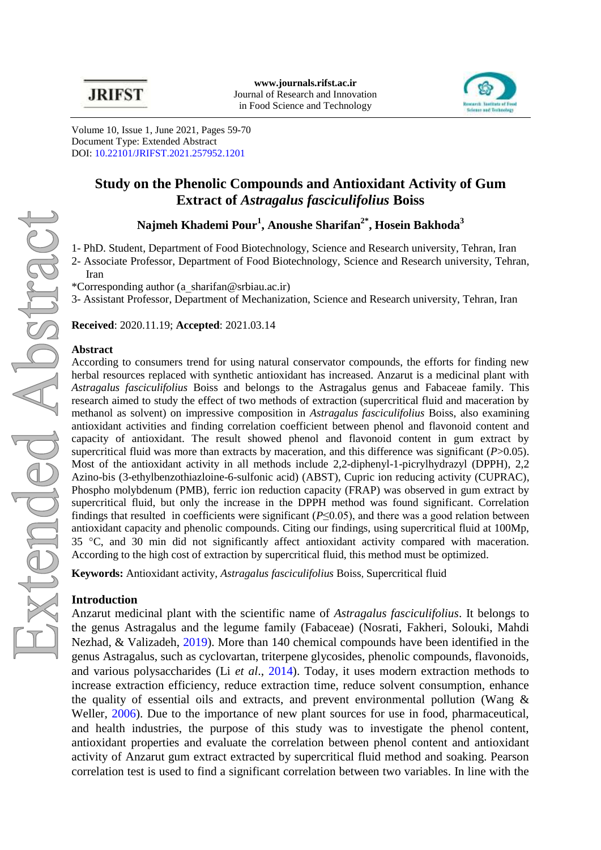

Volume 10, Issue 1, June 2021, Pages 59-70 Document Type: Extended Abstract DOI: [10.22101/JRIFST.2021.257952.1201](https://dx.doi.org/10.22101/jrifst.2021.257952.1201)

# **Study on the Phenolic Compounds and Antioxidant Activity of Gum Extract of** *Astragalus fasciculifolius* **Boiss**

**Najmeh Khademi Pour<sup>1</sup> , Anoushe Sharifan2\* , Hosein Bakhoda<sup>3</sup>**

1- PhD. Student, Department of Food Biotechnology, Science and Research university, Tehran, Iran

2- Associate Professor, Department of Food Biotechnology, Science and Research university, Tehran, Iran

\*Corresponding author [\(a\\_sharifan@srbiau.ac.ir\)](mailto:a_sharifan@srbiau.ac.ir)

3- Assistant Professor, Department of Mechanization, Science and Research university, Tehran, Iran

**Received**: 2020.11.19; **Accepted**: 2021.03.14

### **Abstract**

According to consumers trend for using natural conservator compounds, the efforts for finding new herbal resources replaced with synthetic antioxidant has increased. Anzarut is a medicinal plant with *Astragalus fasciculifolius* Boiss and belongs to the Astragalus genus and Fabaceae family. This research aimed to study the effect of two methods of extraction (supercritical fluid and maceration by methanol as solvent) on impressive composition in *Astragalus fasciculifolius* Boiss, also examining antioxidant activities and finding correlation coefficient between phenol and flavonoid content and capacity of antioxidant. The result showed phenol and flavonoid content in gum extract by supercritical fluid was more than extracts by maceration, and this difference was significant (*P*>0.05). Most of the antioxidant activity in all methods include 2,2-diphenyl-1-picrylhydrazyl (DPPH), 2,2 Azino-bis (3-ethylbenzothiazloine-6-sulfonic acid) (ABST), Cupric ion reducing activity (CUPRAC), Phospho molybdenum (PMB), ferric ion reduction capacity (FRAP) was observed in gum extract by supercritical fluid, but only the increase in the DPPH method was found significant. Correlation findings that resulted in coefficients were significant  $(P \le 0.05)$ , and there was a good relation between antioxidant capacity and phenolic compounds. Citing our findings, using supercritical fluid at 100Mp, 35 °C, and 30 min did not significantly affect antioxidant activity compared with maceration. According to the high cost of extraction by supercritical fluid, this method must be optimized.

**Keywords:** Antioxidant activity, *Astragalus fasciculifolius* Boiss, Supercritical fluid

#### **Introduction**

Anzarut medicinal plant with the scientific name of *Astragalus fasciculifolius*. It belongs to the genus Astragalus and the legume family (Fabaceae) [\(Nosrati, Fakheri, Solouki, Mahdi](#page-4-0)  [Nezhad, & Valizadeh,](#page-4-0) 2019). More than 140 chemical compounds have been identified in the genus Astragalus, such as cyclovartan, triterpene glycosides, phenolic compounds, flavonoids, and various polysaccharides (Li *et al*[., 2014\)](#page-4-1). Today, it uses modern extraction methods to increase extraction efficiency, reduce extraction time, reduce solvent consumption, enhance the quality of essential oils and extracts, and prevent environmental pollution (Wang  $\&$ [Weller, 2006\)](#page-4-2). Due to the importance of new plant sources for use in food, pharmaceutical, and health industries, the purpose of this study was to investigate the phenol content, antioxidant properties and evaluate the correlation between phenol content and antioxidant activity of Anzarut gum extract extracted by supercritical fluid method and soaking. Pearson correlation test is used to find a significant correlation between two variables. In line with the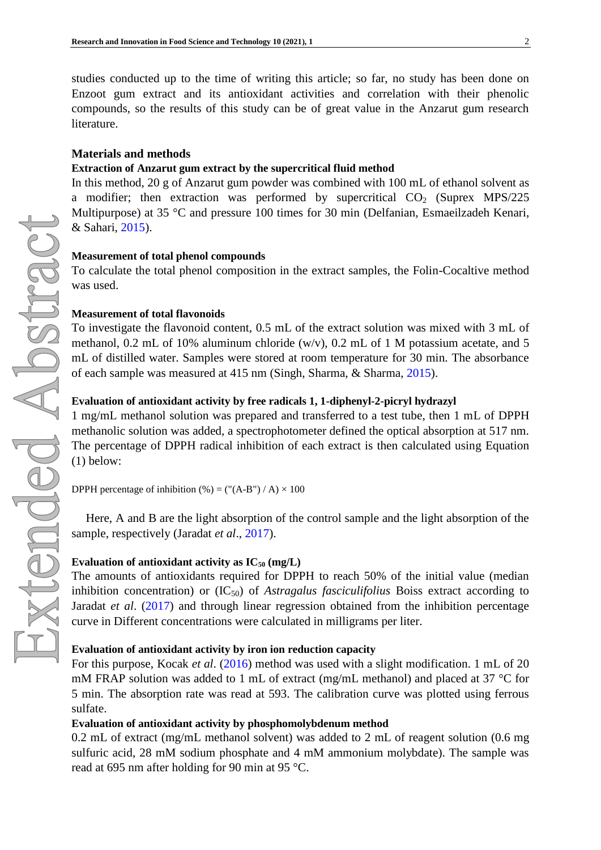studies conducted up to the time of writing this article; so far, no study has been done on Enzoot gum extract and its antioxidant activities and correlation with their phenolic compounds, so the results of this study can be of great value in the Anzarut gum research literature.

### **Materials and methods**

#### **Extraction of Anzarut gum extract by the supercritical fluid method**

In this method, 20 g of Anzarut gum powder was combined with 100 mL of ethanol solvent as a modifier; then extraction was performed by supercritical  $CO<sub>2</sub>$  (Suprex MPS/225) Multipurpose) at 35 °C and pressure 100 times for 30 min [\(Delfanian, Esmaeilzadeh Kenari,](#page-4-3)  [& Sahari, 2015\)](#page-4-3).

#### **Measurement of total phenol compounds**

To calculate the total phenol composition in the extract samples, the Folin-Cocaltive method was used.

#### **Measurement of total flavonoids**

To investigate the flavonoid content, 0.5 mL of the extract solution was mixed with 3 mL of methanol, 0.2 mL of 10% aluminum chloride (w/v), 0.2 mL of 1 M potassium acetate, and 5 mL of distilled water. Samples were stored at room temperature for 30 min. The absorbance of each sample was measured at 415 nm [\(Singh, Sharma, & Sharma,](#page-4-4) 2015).

#### **Evaluation of antioxidant activity by free radicals 1, 1-diphenyl-2-picryl hydrazyl**

1 mg/mL methanol solution was prepared and transferred to a test tube, then 1 mL of DPPH methanolic solution was added, a spectrophotometer defined the optical absorption at 517 nm. The percentage of DPPH radical inhibition of each extract is then calculated using Equation (1) below:

DPPH percentage of inhibition  $(\% ) = (\H(\text{A-B''}) / \text{A}) \times 100$ 

Here, A and B are the light absorption of the control sample and the light absorption of the sample, respectively [\(Jaradat](#page-4-5) *et al*., 2017).

#### **Evaluation of antioxidant activity as**  $IC_{50}$  $(mg/L)$

The amounts of antioxidants required for DPPH to reach 50% of the initial value (median inhibition concentration) or  $(IC_{50})$  of *Astragalus fasciculifolius* Boiss extract according to [Jaradat](#page-4-5) *et al*. (2017) and through linear regression obtained from the inhibition percentage curve in Different concentrations were calculated in milligrams per liter.

#### **Evaluation of antioxidant activity by iron ion reduction capacity**

For this purpose, [Kocak](#page-4-6) *et al*. (2016) method was used with a slight modification. 1 mL of 20 mM FRAP solution was added to 1 mL of extract (mg/mL methanol) and placed at 37 °C for 5 min. The absorption rate was read at 593. The calibration curve was plotted using ferrous sulfate.

#### **Evaluation of antioxidant activity by phosphomolybdenum method**

0.2 mL of extract (mg/mL methanol solvent) was added to 2 mL of reagent solution (0.6 mg sulfuric acid, 28 mM sodium phosphate and 4 mM ammonium molybdate). The sample was read at 695 nm after holding for 90 min at 95 °C.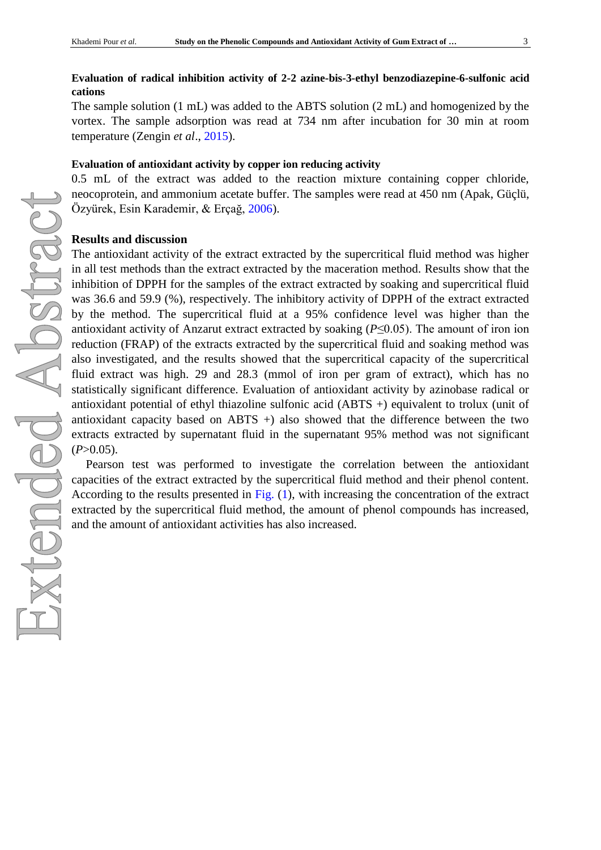## **Evaluation of radical inhibition activity of 2-2 azine-bis-3-ethyl benzodiazepine-6-sulfonic acid cations**

The sample solution (1 mL) was added to the ABTS solution (2 mL) and homogenized by the vortex. The sample adsorption was read at 734 nm after incubation for 30 min at room temperature [\(Zengin](#page-4-7) *et al*., 2015).

#### **Evaluation of antioxidant activity by copper ion reducing activity**

0.5 mL of the extract was added to the reaction mixture containing copper chloride, neocoprotein, and ammonium acetate buffer. The samples were read at 450 nm [\(Apak, Güçlü,](#page-4-8)  [Özyürek, Esin Karademir, & Erçağ, 2006\)](#page-4-8).

#### **Results and discussion**

The antioxidant activity of the extract extracted by the supercritical fluid method was higher in all test methods than the extract extracted by the maceration method. Results show that the inhibition of DPPH for the samples of the extract extracted by soaking and supercritical fluid was 36.6 and 59.9 (%), respectively. The inhibitory activity of DPPH of the extract extracted by the method. The supercritical fluid at a 95% confidence level was higher than the antioxidant activity of Anzarut extract extracted by soaking (*P*≤0.05). The amount of iron ion reduction (FRAP) of the extracts extracted by the supercritical fluid and soaking method was also investigated, and the results showed that the supercritical capacity of the supercritical fluid extract was high. 29 and 28.3 (mmol of iron per gram of extract), which has no statistically significant difference. Evaluation of antioxidant activity by azinobase radical or antioxidant potential of ethyl thiazoline sulfonic acid (ABTS +) equivalent to trolux (unit of antioxidant capacity based on ABTS +) also showed that the difference between the two extracts extracted by supernatant fluid in the supernatant 95% method was not significant  $(P>0.05)$ .

Pearson test was performed to investigate the correlation between the antioxidant capacities of the extract extracted by the supercritical fluid method and their phenol content. According to the results presented in [Fig.](#page-3-0) (1), with increasing the concentration of the extract extracted by the supercritical fluid method, the amount of phenol compounds has increased, and the amount of antioxidant activities has also increased.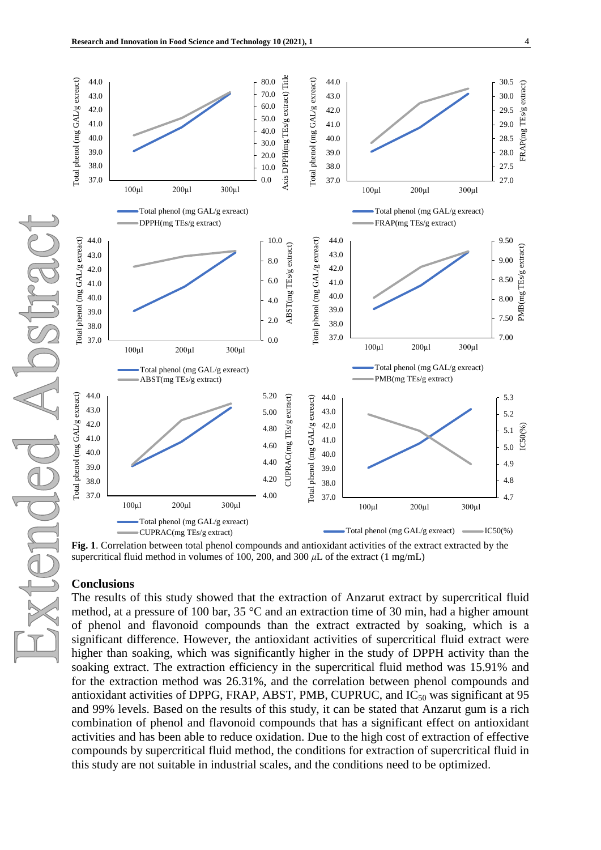<span id="page-3-0"></span>

**Fig. 1**. Correlation between total phenol compounds and antioxidant activities of the extract extracted by the supercritical fluid method in volumes of 100, 200, and 300 *μ*L of the extract (1 mg/mL)

#### **Conclusions**

The results of this study showed that the extraction of Anzarut extract by supercritical fluid method, at a pressure of 100 bar, 35 °C and an extraction time of 30 min, had a higher amount of phenol and flavonoid compounds than the extract extracted by soaking, which is a significant difference. However, the antioxidant activities of supercritical fluid extract were higher than soaking, which was significantly higher in the study of DPPH activity than the soaking extract. The extraction efficiency in the supercritical fluid method was 15.91% and for the extraction method was 26.31%, and the correlation between phenol compounds and antioxidant activities of DPPG, FRAP, ABST, PMB, CUPRUC, and  $IC_{50}$  was significant at 95 and 99% levels. Based on the results of this study, it can be stated that Anzarut gum is a rich combination of phenol and flavonoid compounds that has a significant effect on antioxidant activities and has been able to reduce oxidation. Due to the high cost of extraction of effective compounds by supercritical fluid method, the conditions for extraction of supercritical fluid in this study are not suitable in industrial scales, and the conditions need to be optimized.